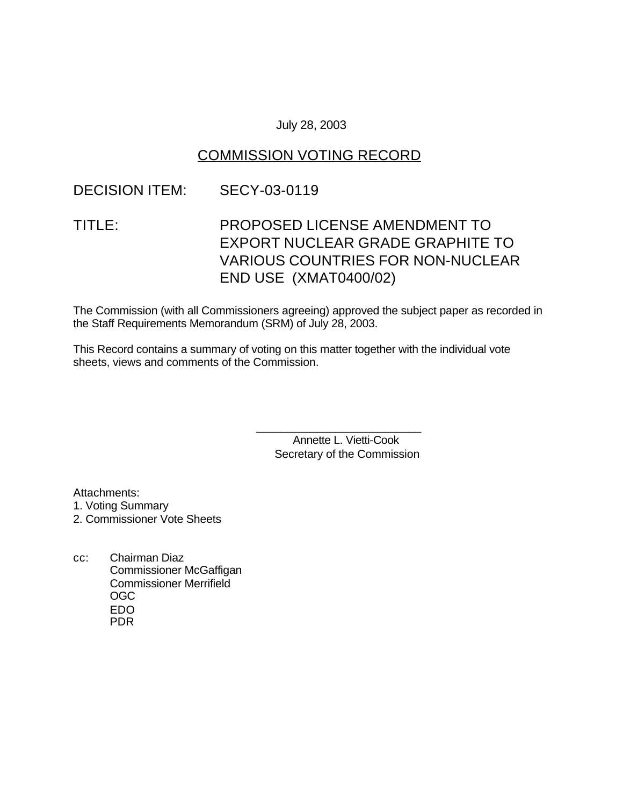#### July 28, 2003

## COMMISSION VOTING RECORD

### DECISION ITEM: SECY-03-0119

# TITLE: PROPOSED LICENSE AMENDMENT TO EXPORT NUCLEAR GRADE GRAPHITE TO VARIOUS COUNTRIES FOR NON-NUCLEAR END USE (XMAT0400/02)

The Commission (with all Commissioners agreeing) approved the subject paper as recorded in the Staff Requirements Memorandum (SRM) of July 28, 2003.

This Record contains a summary of voting on this matter together with the individual vote sheets, views and comments of the Commission.

> Annette L. Vietti-Cook Secretary of the Commission

\_\_\_\_\_\_\_\_\_\_\_\_\_\_\_\_\_\_\_\_\_\_\_\_\_\_\_

Attachments:

1. Voting Summary

2. Commissioner Vote Sheets

cc: Chairman Diaz Commissioner McGaffigan Commissioner Merrifield OGC EDO PDR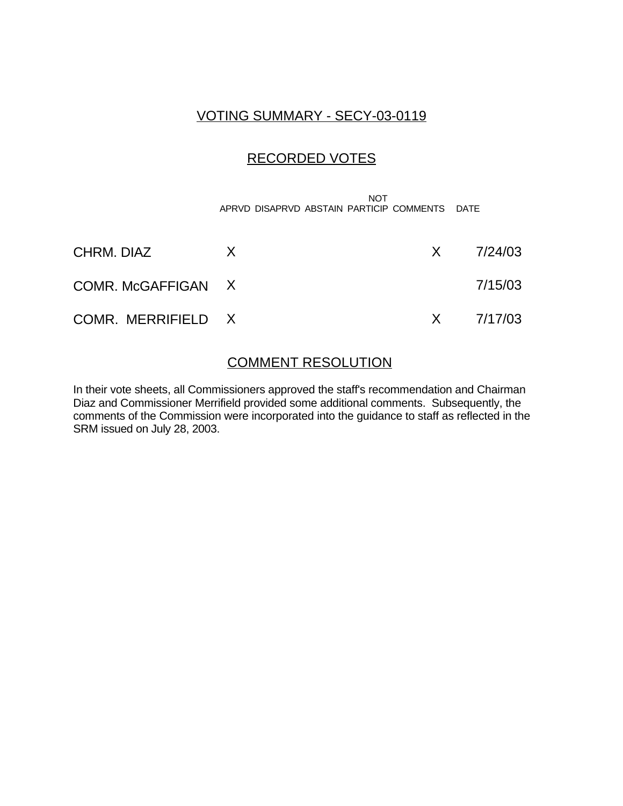## VOTING SUMMARY - SECY-03-0119

### RECORDED VOTES

 NOT APRVD DISAPRVD ABSTAIN PARTICIP COMMENTS DATE

| CHRM, DIAZ         |  | $X = \frac{7}{24}{03}$ |
|--------------------|--|------------------------|
| COMR. McGAFFIGAN X |  | 7/15/03                |
| COMR. MERRIFIELD X |  | $X = \frac{7}{17/03}$  |

#### COMMENT RESOLUTION

In their vote sheets, all Commissioners approved the staff's recommendation and Chairman Diaz and Commissioner Merrifield provided some additional comments. Subsequently, the comments of the Commission were incorporated into the guidance to staff as reflected in the SRM issued on July 28, 2003.